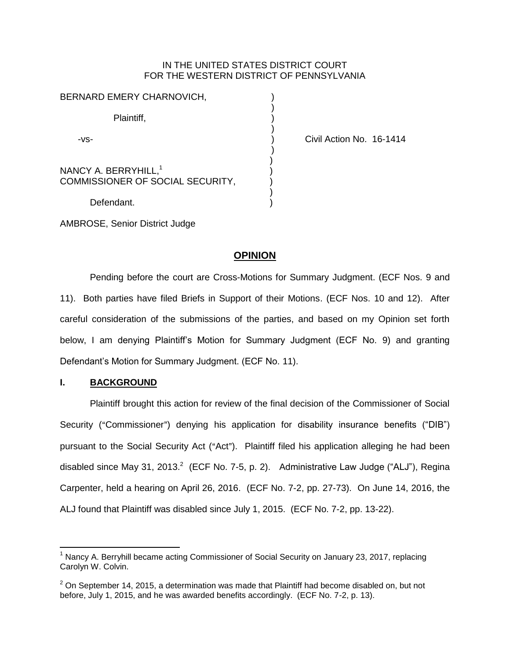### IN THE UNITED STATES DISTRICT COURT FOR THE WESTERN DISTRICT OF PENNSYLVANIA

| BERNARD EMERY CHARNOVICH,                                            |  |
|----------------------------------------------------------------------|--|
| Plaintiff,                                                           |  |
| -VS-                                                                 |  |
| NANCY A. BERRYHILL, <sup>1</sup><br>COMMISSIONER OF SOCIAL SECURITY, |  |
| Nafandant                                                            |  |

Civil Action No. 16-1414

Defendant.

AMBROSE, Senior District Judge

# **OPINION**

Pending before the court are Cross-Motions for Summary Judgment. (ECF Nos. 9 and 11). Both parties have filed Briefs in Support of their Motions. (ECF Nos. 10 and 12). After careful consideration of the submissions of the parties, and based on my Opinion set forth below, I am denying Plaintiff's Motion for Summary Judgment (ECF No. 9) and granting Defendant's Motion for Summary Judgment. (ECF No. 11).

# **I. BACKGROUND**

 $\overline{a}$ 

Plaintiff brought this action for review of the final decision of the Commissioner of Social Security ("Commissioner") denying his application for disability insurance benefits ("DIB") pursuant to the Social Security Act ("Act"). Plaintiff filed his application alleging he had been disabled since May 31, 2013. $^2$  (ECF No. 7-5, p. 2). Administrative Law Judge ("ALJ"), Regina Carpenter, held a hearing on April 26, 2016. (ECF No. 7-2, pp. 27-73). On June 14, 2016, the ALJ found that Plaintiff was disabled since July 1, 2015. (ECF No. 7-2, pp. 13-22).

<sup>&</sup>lt;sup>1</sup> Nancy A. Berryhill became acting Commissioner of Social Security on January 23, 2017, replacing Carolyn W. Colvin.

 $2$  On September 14, 2015, a determination was made that Plaintiff had become disabled on, but not before, July 1, 2015, and he was awarded benefits accordingly. (ECF No. 7-2, p. 13).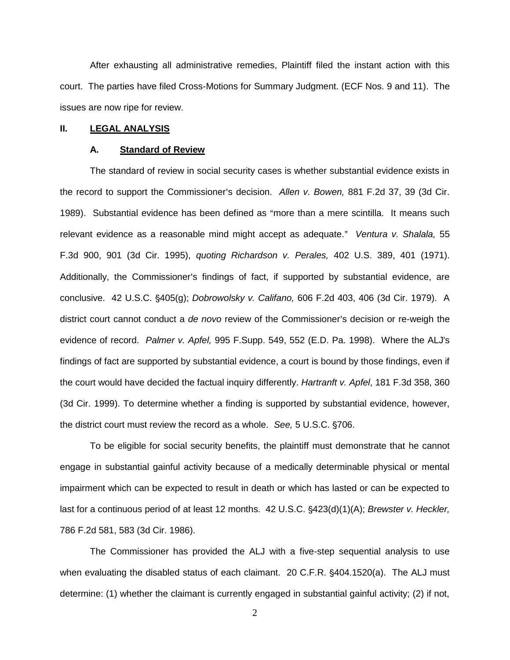After exhausting all administrative remedies, Plaintiff filed the instant action with this court. The parties have filed Cross-Motions for Summary Judgment. (ECF Nos. 9 and 11). The issues are now ripe for review.

### **II. LEGAL ANALYSIS**

#### **A. Standard of Review**

The standard of review in social security cases is whether substantial evidence exists in the record to support the Commissioner's decision. Allen v. Bowen, 881 F.2d 37, 39 (3d Cir. 1989). Substantial evidence has been defined as "more than a mere scintilla. It means such relevant evidence as a reasonable mind might accept as adequate." Ventura v. Shalala, 55 F.3d 900, 901 (3d Cir. 1995), *quoting Richardson v. Perales,* 402 U.S. 389, 401 (1971). Additionally, the Commissioner's findings of fact, if supported by substantial evidence, are conclusive. 42 U.S.C. '405(g); *Dobrowolsky v. Califano,* 606 F.2d 403, 406 (3d Cir. 1979). A district court cannot conduct a *de novo* review of the Commissioner's decision or re-weigh the evidence of record. *Palmer v. Apfel,* 995 F.Supp. 549, 552 (E.D. Pa. 1998). Where the ALJ's findings of fact are supported by substantial evidence, a court is bound by those findings, even if the court would have decided the factual inquiry differently. *Hartranft v. Apfel*, 181 F.3d 358, 360 (3d Cir. 1999). To determine whether a finding is supported by substantial evidence, however, the district court must review the record as a whole. *See,* 5 U.S.C. '706.

To be eligible for social security benefits, the plaintiff must demonstrate that he cannot engage in substantial gainful activity because of a medically determinable physical or mental impairment which can be expected to result in death or which has lasted or can be expected to last for a continuous period of at least 12 months. 42 U.S.C. §423(d)(1)(A); *Brewster v. Heckler*, 786 F.2d 581, 583 (3d Cir. 1986).

The Commissioner has provided the ALJ with a five-step sequential analysis to use when evaluating the disabled status of each claimant. 20 C.F.R. §404.1520(a). The ALJ must determine: (1) whether the claimant is currently engaged in substantial gainful activity; (2) if not,

2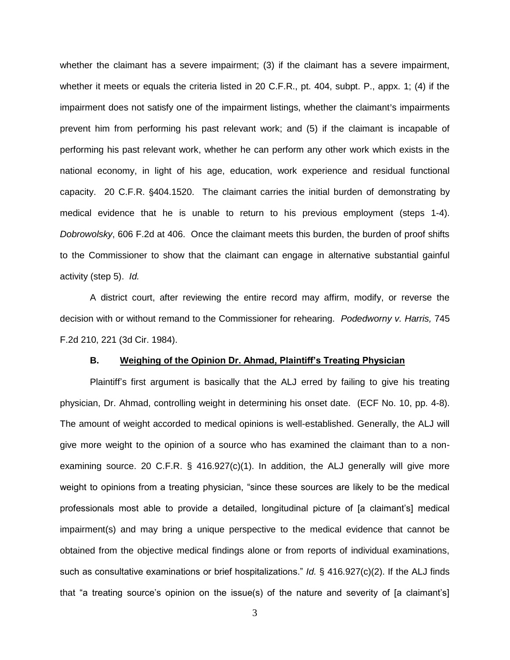whether the claimant has a severe impairment; (3) if the claimant has a severe impairment, whether it meets or equals the criteria listed in 20 C.F.R., pt. 404, subpt. P., appx. 1; (4) if the impairment does not satisfy one of the impairment listings, whether the claimant's impairments prevent him from performing his past relevant work; and (5) if the claimant is incapable of performing his past relevant work, whether he can perform any other work which exists in the national economy, in light of his age, education, work experience and residual functional capacity. 20 C.F.R. §404.1520. The claimant carries the initial burden of demonstrating by medical evidence that he is unable to return to his previous employment (steps 1-4). *Dobrowolsky*, 606 F.2d at 406. Once the claimant meets this burden, the burden of proof shifts to the Commissioner to show that the claimant can engage in alternative substantial gainful activity (step 5). *Id.*

A district court, after reviewing the entire record may affirm, modify, or reverse the decision with or without remand to the Commissioner for rehearing. *Podedworny v. Harris,* 745 F.2d 210, 221 (3d Cir. 1984).

#### **B. Weighing of the Opinion Dr. Ahmad, Plaintiff's Treating Physician**

Plaintiff's first argument is basically that the ALJ erred by failing to give his treating physician, Dr. Ahmad, controlling weight in determining his onset date. (ECF No. 10, pp. 4-8). The amount of weight accorded to medical opinions is well-established. Generally, the ALJ will give more weight to the opinion of a source who has examined the claimant than to a nonexamining source. 20 C.F.R.  $\S$  416.927(c)(1). In addition, the ALJ generally will give more weight to opinions from a treating physician, "since these sources are likely to be the medical professionals most able to provide a detailed, longitudinal picture of [a claimant's] medical impairment(s) and may bring a unique perspective to the medical evidence that cannot be obtained from the objective medical findings alone or from reports of individual examinations, such as consultative examinations or brief hospitalizations." *Id.* § 416.927(c)(2). If the ALJ finds that "a treating source's opinion on the issue(s) of the nature and severity of [a claimant's]

3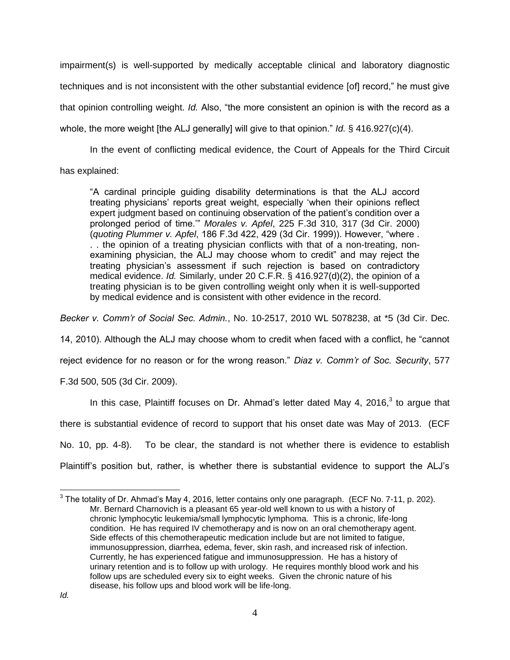impairment(s) is well-supported by medically acceptable clinical and laboratory diagnostic techniques and is not inconsistent with the other substantial evidence [of] record," he must give that opinion controlling weight. *Id.* Also, "the more consistent an opinion is with the record as a whole, the more weight [the ALJ generally] will give to that opinion." *Id.* § 416.927(c)(4).

In the event of conflicting medical evidence, the Court of Appeals for the Third Circuit has explained:

"A cardinal principle guiding disability determinations is that the ALJ accord treating physicians' reports great weight, especially 'when their opinions reflect expert judgment based on continuing observation of the patient's condition over a prolonged period of time.'" *Morales v. Apfel*, 225 F.3d 310, 317 (3d Cir. 2000) (*quoting Plummer v. Apfel*, 186 F.3d 422, 429 (3d Cir. 1999)). However, "where . . . the opinion of a treating physician conflicts with that of a non-treating, nonexamining physician, the ALJ may choose whom to credit" and may reject the treating physician's assessment if such rejection is based on contradictory medical evidence. *Id.* Similarly, under 20 C.F.R. § 416.927(d)(2), the opinion of a treating physician is to be given controlling weight only when it is well-supported by medical evidence and is consistent with other evidence in the record.

*Becker v. Comm'r of Social Sec. Admin.*, No. 10-2517, 2010 WL 5078238, at \*5 (3d Cir. Dec.

14, 2010). Although the ALJ may choose whom to credit when faced with a conflict, he "cannot

reject evidence for no reason or for the wrong reason." *Diaz v. Comm'r of Soc. Security*, 577

F.3d 500, 505 (3d Cir. 2009).

In this case, Plaintiff focuses on Dr. Ahmad's letter dated May 4, 2016, $3$  to argue that there is substantial evidence of record to support that his onset date was May of 2013. (ECF No. 10, pp. 4-8). To be clear, the standard is not whether there is evidence to establish Plaintiff's position but, rather, is whether there is substantial evidence to support the ALJ's

 $\overline{a}$ 

 $^3$  The totality of Dr. Ahmad's May 4, 2016, letter contains only one paragraph. (ECF No. 7-11, p. 202). Mr. Bernard Charnovich is a pleasant 65 year-old well known to us with a history of chronic lymphocytic leukemia/small lymphocytic lymphoma. This is a chronic, life-long condition. He has required IV chemotherapy and is now on an oral chemotherapy agent. Side effects of this chemotherapeutic medication include but are not limited to fatigue, immunosuppression, diarrhea, edema, fever, skin rash, and increased risk of infection. Currently, he has experienced fatigue and immunosuppression. He has a history of urinary retention and is to follow up with urology. He requires monthly blood work and his follow ups are scheduled every six to eight weeks. Given the chronic nature of his disease, his follow ups and blood work will be life-long.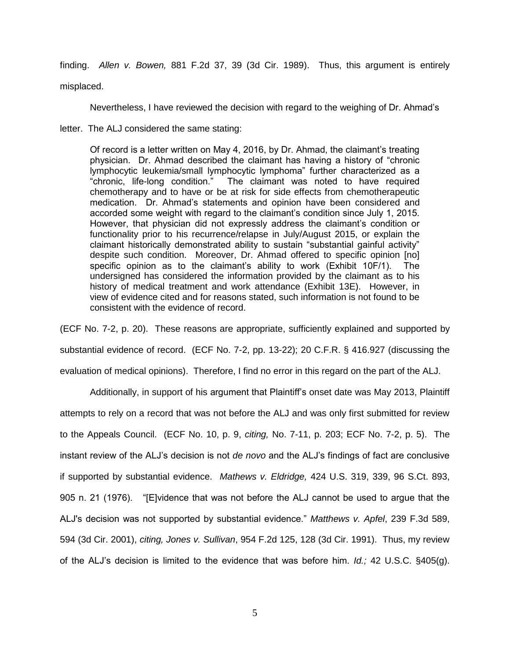finding. *Allen v. Bowen,* 881 F.2d 37, 39 (3d Cir. 1989). Thus, this argument is entirely misplaced.

Nevertheless, I have reviewed the decision with regard to the weighing of Dr. Ahmad's

letter. The ALJ considered the same stating:

Of record is a letter written on May 4, 2016, by Dr. Ahmad, the claimant's treating physician. Dr. Ahmad described the claimant has having a history of "chronic lymphocytic leukemia/small lymphocytic lymphoma" further characterized as a "chronic, life-long condition." The claimant was noted to have required chemotherapy and to have or be at risk for side effects from chemotherapeutic medication. Dr. Ahmad's statements and opinion have been considered and accorded some weight with regard to the claimant's condition since July 1, 2015. However, that physician did not expressly address the claimant's condition or functionality prior to his recurrence/relapse in July/August 2015, or explain the claimant historically demonstrated ability to sustain "substantial gainful activity" despite such condition. Moreover, Dr. Ahmad offered to specific opinion [no] specific opinion as to the claimant's ability to work (Exhibit 10F/1). The undersigned has considered the information provided by the claimant as to his history of medical treatment and work attendance (Exhibit 13E). However, in view of evidence cited and for reasons stated, such information is not found to be consistent with the evidence of record.

(ECF No. 7-2, p. 20). These reasons are appropriate, sufficiently explained and supported by substantial evidence of record. (ECF No. 7-2, pp. 13-22); 20 C.F.R. § 416.927 (discussing the evaluation of medical opinions). Therefore, I find no error in this regard on the part of the ALJ.

Additionally, in support of his argument that Plaintiff's onset date was May 2013, Plaintiff attempts to rely on a record that was not before the ALJ and was only first submitted for review to the Appeals Council. (ECF No. 10, p. 9, *citing,* No. 7-11, p. 203; ECF No. 7-2, p. 5). The instant review of the ALJ's decision is not *de novo* and the ALJ's findings of fact are conclusive if supported by substantial evidence. *Mathews v. Eldridge,* 424 U.S. 319, 339, 96 S.Ct. 893, 905 n. 21 (1976). "[E]vidence that was not before the ALJ cannot be used to argue that the ALJ's decision was not supported by substantial evidence." *Matthews v. Apfel*, 239 F.3d 589, 594 (3d Cir. 2001), *citing, Jones v. Sullivan*, 954 F.2d 125, 128 (3d Cir. 1991). Thus, my review of the ALJ's decision is limited to the evidence that was before him. *Id.;* 42 U.S.C. §405(g).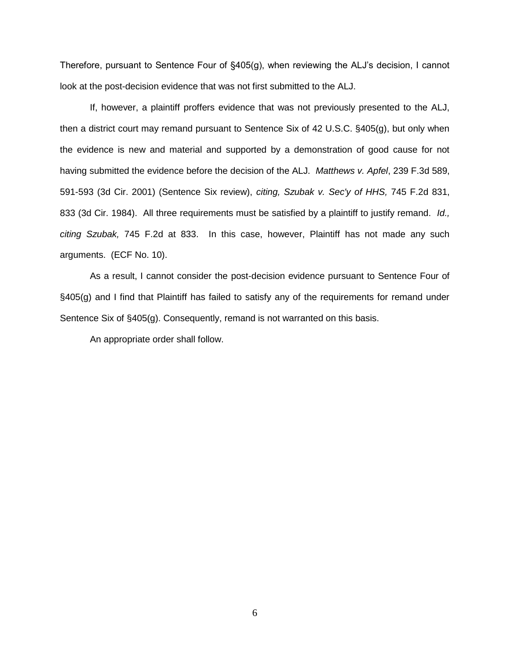Therefore, pursuant to Sentence Four of §405(g), when reviewing the ALJ's decision, I cannot look at the post-decision evidence that was not first submitted to the ALJ.

If, however, a plaintiff proffers evidence that was not previously presented to the ALJ, then a district court may remand pursuant to Sentence Six of 42 U.S.C. §405(g), but only when the evidence is new and material and supported by a demonstration of good cause for not having submitted the evidence before the decision of the ALJ. *Matthews v. Apfel*, 239 F.3d 589, 591-593 (3d Cir. 2001) (Sentence Six review), *citing, Szubak v. Sec'y of HHS,* 745 F.2d 831, 833 (3d Cir. 1984). All three requirements must be satisfied by a plaintiff to justify remand. *Id., citing Szubak,* 745 F.2d at 833. In this case, however, Plaintiff has not made any such arguments. (ECF No. 10).

As a result, I cannot consider the post-decision evidence pursuant to Sentence Four of §405(g) and I find that Plaintiff has failed to satisfy any of the requirements for remand under Sentence Six of §405(g). Consequently, remand is not warranted on this basis.

An appropriate order shall follow.

6